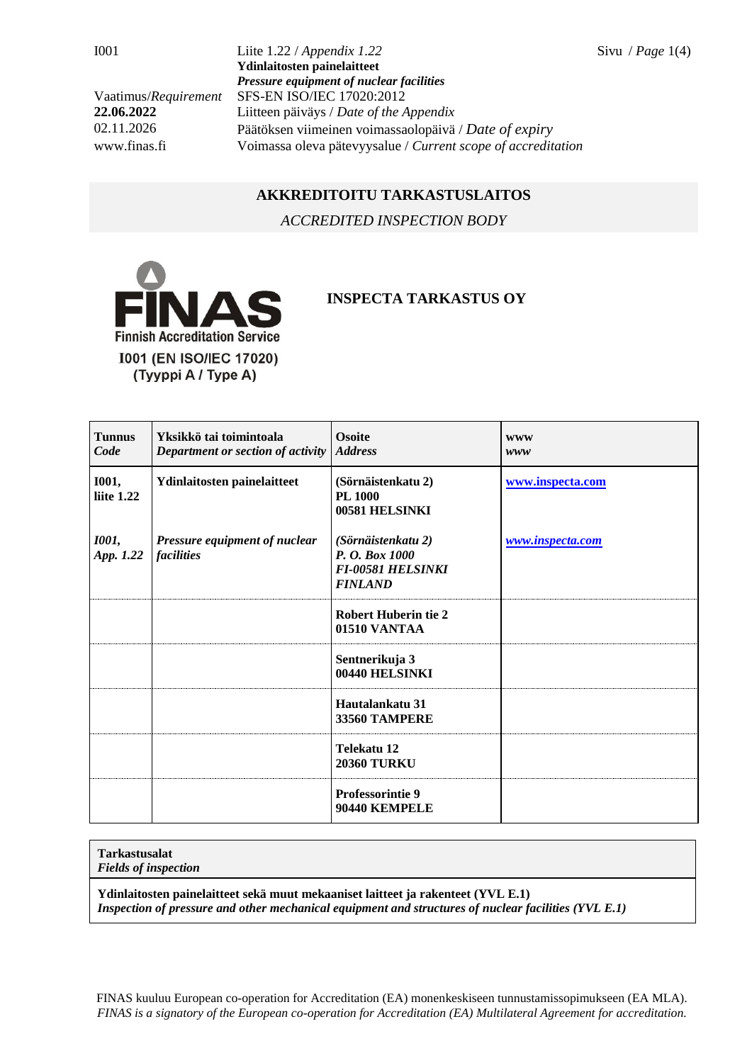I001 Liite 1.22 / *Appendix 1.22* Sivu / *Page* 1(4) **Ydinlaitosten painelaitteet** *Pressure equipment of nuclear facilities* Vaatimus/*Requirement* SFS-EN ISO/IEC 17020:2012 **22.06.2022** Liitteen päiväys / *Date of the Appendix* 02.11.2026 Päätöksen viimeinen voimassaolopäivä / *Date of expiry* www.finas.fi Voimassa oleva pätevyysalue / *Current scope of accreditation*

## **AKKREDITOITU TARKASTUSLAITOS**

*ACCREDITED INSPECTION BODY*



## **INSPECTA TARKASTUS OY**

| <b>Tunnus</b><br>Code      | Yksikkö tai toimintoala<br>Department or section of activity | <b>Osoite</b><br><b>Address</b>                                                    | <b>WWW</b><br>www |
|----------------------------|--------------------------------------------------------------|------------------------------------------------------------------------------------|-------------------|
| <b>I001,</b><br>liite 1.22 | Ydinlaitosten painelaitteet                                  | (Sörnäistenkatu 2)<br><b>PL 1000</b><br>00581 HELSINKI                             | www.inspecta.com  |
| <b>1001</b> ,<br>App. 1.22 | Pressure equipment of nuclear<br><i>facilities</i>           | (Sörnäistenkatu 2)<br>P. O. Box 1000<br><b>FI-00581 HELSINKI</b><br><b>FINLAND</b> | www.inspecta.com  |
|                            |                                                              | <b>Robert Huberin tie 2</b><br>01510 VANTAA                                        |                   |
|                            |                                                              | Sentnerikuja 3<br>00440 HELSINKI                                                   |                   |
|                            |                                                              | Hautalankatu 31<br><b>33560 TAMPERE</b>                                            |                   |
|                            |                                                              | Telekatu 12<br><b>20360 TURKU</b>                                                  |                   |
|                            |                                                              | <b>Professorintie 9</b><br>90440 KEMPELE                                           |                   |

## **Tarkastusalat**

*Fields of inspection*

**Ydinlaitosten painelaitteet sekä muut mekaaniset laitteet ja rakenteet (YVL E.1)** *Inspection of pressure and other mechanical equipment and structures of nuclear facilities (YVL E.1)*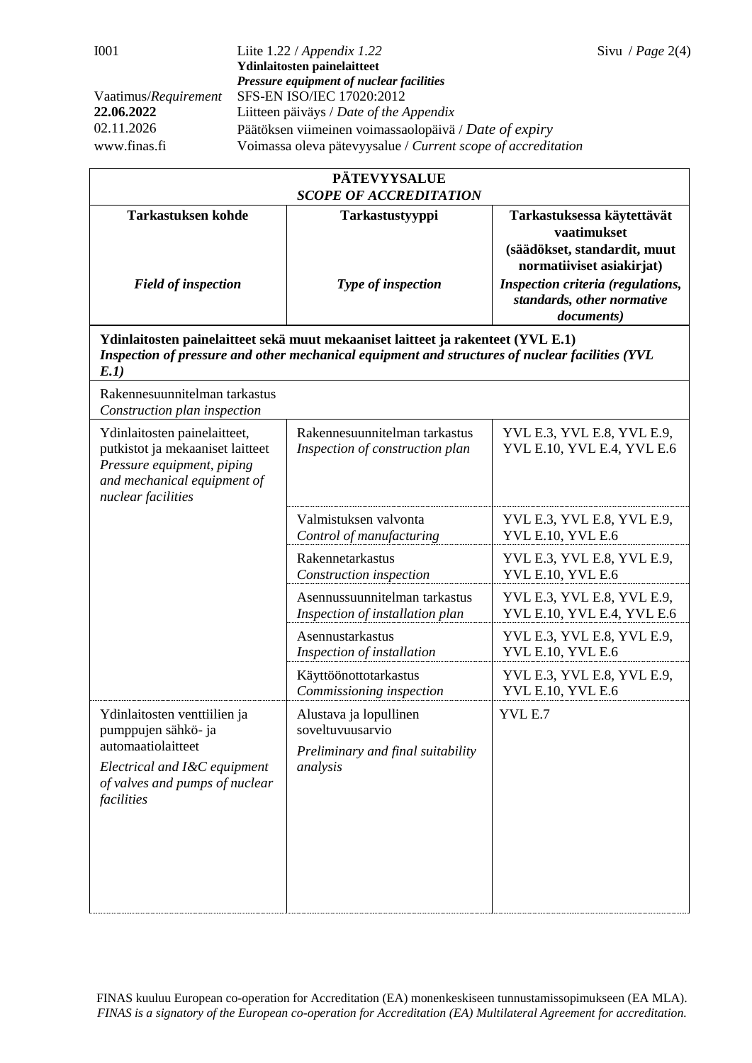| <b>PÄTEVYYSALUE</b><br><b>SCOPE OF ACCREDITATION</b>                                                                                                                                        |                                                                                             |                                                                                                                                            |  |  |  |  |
|---------------------------------------------------------------------------------------------------------------------------------------------------------------------------------------------|---------------------------------------------------------------------------------------------|--------------------------------------------------------------------------------------------------------------------------------------------|--|--|--|--|
| <b>Tarkastuksen kohde</b>                                                                                                                                                                   | Tarkastustyyppi                                                                             | Tarkastuksessa käytettävät<br>vaatimukset                                                                                                  |  |  |  |  |
| <b>Field of inspection</b>                                                                                                                                                                  | Type of inspection                                                                          | (säädökset, standardit, muut<br>normatiiviset asiakirjat)<br>Inspection criteria (regulations,<br>standards, other normative<br>documents) |  |  |  |  |
| Ydinlaitosten painelaitteet sekä muut mekaaniset laitteet ja rakenteet (YVL E.1)<br>Inspection of pressure and other mechanical equipment and structures of nuclear facilities (YVL<br>E.1) |                                                                                             |                                                                                                                                            |  |  |  |  |
| Rakennesuunnitelman tarkastus<br>Construction plan inspection                                                                                                                               |                                                                                             |                                                                                                                                            |  |  |  |  |
| Ydinlaitosten painelaitteet,<br>putkistot ja mekaaniset laitteet<br>Pressure equipment, piping<br>and mechanical equipment of<br>nuclear facilities                                         | Rakennesuunnitelman tarkastus<br>Inspection of construction plan                            | YVL E.3, YVL E.8, YVL E.9,<br>YVL E.10, YVL E.4, YVL E.6                                                                                   |  |  |  |  |
|                                                                                                                                                                                             | Valmistuksen valvonta<br>Control of manufacturing                                           | YVL E.3, YVL E.8, YVL E.9,<br><b>YVL E.10, YVL E.6</b>                                                                                     |  |  |  |  |
|                                                                                                                                                                                             | Rakennetarkastus<br>Construction inspection                                                 | YVL E.3, YVL E.8, YVL E.9,<br><b>YVL E.10, YVL E.6</b>                                                                                     |  |  |  |  |
|                                                                                                                                                                                             | Asennussuunnitelman tarkastus<br>Inspection of installation plan                            | YVL E.3, YVL E.8, YVL E.9,<br>YVL E.10, YVL E.4, YVL E.6                                                                                   |  |  |  |  |
|                                                                                                                                                                                             | Asennustarkastus<br>Inspection of installation                                              | YVL E.3, YVL E.8, YVL E.9,<br>YVL E.10, YVL E.6                                                                                            |  |  |  |  |
|                                                                                                                                                                                             | Käyttöönottotarkastus<br>Commissioning inspection                                           | YVL E.3, YVL E.8, YVL E.9,<br>YVL E.10, YVL E.6                                                                                            |  |  |  |  |
| Ydinlaitosten venttiilien ja<br>pumppujen sähkö- ja<br>automaatiolaitteet<br>Electrical and I&C equipment<br>of valves and pumps of nuclear<br>facilities                                   | Alustava ja lopullinen<br>soveltuvuusarvio<br>Preliminary and final suitability<br>analysis | YVL E.7                                                                                                                                    |  |  |  |  |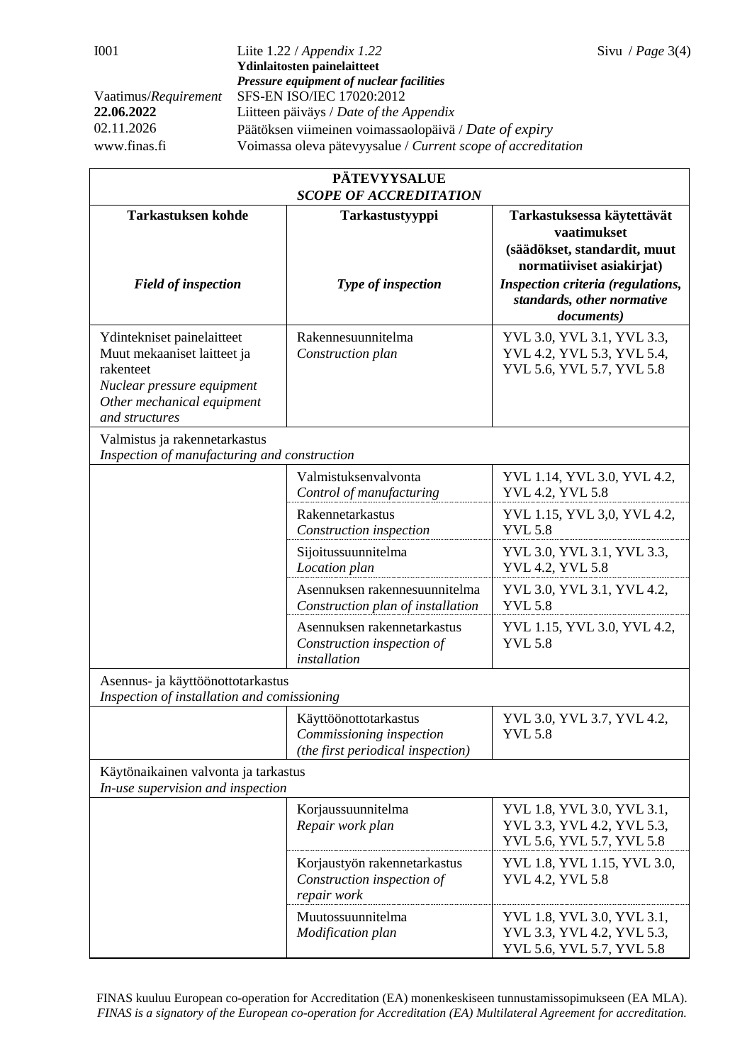I001 Liite 1.22 / *Appendix 1.22* Sivu / *Page* 3(4) **Ydinlaitosten painelaitteet** *Pressure equipment of nuclear facilities* Vaatimus/*Requirement* SFS-EN ISO/IEC 17020:2012 **22.06.2022** Liitteen päiväys / *Date of the Appendix* 02.11.2026 Päätöksen viimeinen voimassaolopäivä / *Date of expiry* www.finas.fi Voimassa oleva pätevyysalue / *Current scope of accreditation*

| <b>PÄTEVYYSALUE</b><br><b>SCOPE OF ACCREDITATION</b>                                                                                                 |                                                                                        |                                                                                                        |  |  |  |
|------------------------------------------------------------------------------------------------------------------------------------------------------|----------------------------------------------------------------------------------------|--------------------------------------------------------------------------------------------------------|--|--|--|
| <b>Tarkastuksen kohde</b>                                                                                                                            | Tarkastustyyppi                                                                        | Tarkastuksessa käytettävät<br>vaatimukset<br>(säädökset, standardit, muut<br>normatiiviset asiakirjat) |  |  |  |
| <b>Field of inspection</b>                                                                                                                           | Type of inspection                                                                     | Inspection criteria (regulations,<br>standards, other normative<br>documents)                          |  |  |  |
| Ydintekniset painelaitteet<br>Muut mekaaniset laitteet ja<br>rakenteet<br>Nuclear pressure equipment<br>Other mechanical equipment<br>and structures | Rakennesuunnitelma<br>Construction plan                                                | YVL 3.0, YVL 3.1, YVL 3.3,<br>YVL 4.2, YVL 5.3, YVL 5.4,<br>YVL 5.6, YVL 5.7, YVL 5.8                  |  |  |  |
| Valmistus ja rakennetarkastus<br>Inspection of manufacturing and construction                                                                        |                                                                                        |                                                                                                        |  |  |  |
|                                                                                                                                                      | Valmistuksenvalvonta<br>Control of manufacturing                                       | YVL 1.14, YVL 3.0, YVL 4.2,<br><b>YVL 4.2, YVL 5.8</b>                                                 |  |  |  |
|                                                                                                                                                      | Rakennetarkastus<br>Construction inspection                                            | YVL 1.15, YVL 3,0, YVL 4.2,<br><b>YVL 5.8</b>                                                          |  |  |  |
|                                                                                                                                                      | Sijoitussuunnitelma<br>Location plan                                                   | YVL 3.0, YVL 3.1, YVL 3.3,<br><b>YVL 4.2, YVL 5.8</b>                                                  |  |  |  |
|                                                                                                                                                      | Asennuksen rakennesuunnitelma<br>Construction plan of installation                     | YVL 3.0, YVL 3.1, YVL 4.2,<br><b>YVL 5.8</b>                                                           |  |  |  |
|                                                                                                                                                      | Asennuksen rakennetarkastus<br>Construction inspection of<br>installation              | YVL 1.15, YVL 3.0, YVL 4.2,<br><b>YVL 5.8</b>                                                          |  |  |  |
| Asennus- ja käyttöönottotarkastus<br>Inspection of installation and comissioning                                                                     |                                                                                        |                                                                                                        |  |  |  |
|                                                                                                                                                      | Käyttöönottotarkastus<br>Commissioning inspection<br>(the first periodical inspection) | YVL 3.0, YVL 3.7, YVL 4.2,<br><b>YVL 5.8</b>                                                           |  |  |  |
| Käytönaikainen valvonta ja tarkastus<br>In-use supervision and inspection                                                                            |                                                                                        |                                                                                                        |  |  |  |
|                                                                                                                                                      | Korjaussuunnitelma<br>Repair work plan                                                 | YVL 1.8, YVL 3.0, YVL 3.1,<br>YVL 3.3, YVL 4.2, YVL 5.3,<br>YVL 5.6, YVL 5.7, YVL 5.8                  |  |  |  |
|                                                                                                                                                      | Korjaustyön rakennetarkastus<br>Construction inspection of<br>repair work              | YVL 1.8, YVL 1.15, YVL 3.0,<br><b>YVL 4.2, YVL 5.8</b>                                                 |  |  |  |
|                                                                                                                                                      | Muutossuunnitelma<br>Modification plan                                                 | YVL 1.8, YVL 3.0, YVL 3.1,<br>YVL 3.3, YVL 4.2, YVL 5.3,<br>YVL 5.6, YVL 5.7, YVL 5.8                  |  |  |  |

FINAS kuuluu European co-operation for Accreditation (EA) monenkeskiseen tunnustamissopimukseen (EA MLA). *FINAS is a signatory of the European co-operation for Accreditation (EA) Multilateral Agreement for accreditation.*